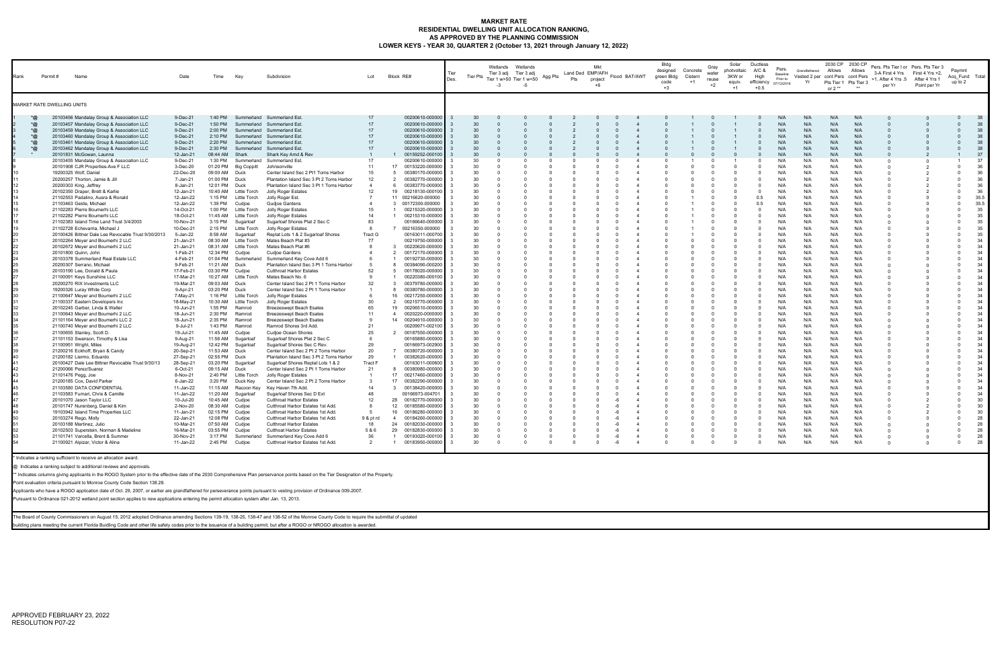#### **MARKET RATE RESIDENTIAL DWELLING UNIT ALLOCATION RANKING, AS APPROVED BY THE PLANNING COMMISSION LOWER KEYS - YEAR 30, QUARTER 2 (October 13, 2021 through January 12, 2022)**

| Rank                                | Permit #<br>Name                                                                                                                                                                                                                                                                                                                                                                                                                                                                                                                                                                                                                                                                                                                                                                                                                                                                                                                                                                                                                                                                                                                                                                                                                                                                                                                                                                                                                                                                                                                                                                                                                                                                                                                                                                         | Date                                                                                                                                                                                                                                                                                                                                                                                                                                                                                                                                                                                                                                | Time                                                                                                                                                                                                                                                                                                                                                                                                                                                                                                                                                  | Key                                                                                                                                                                                                                                                                                                                                                                                                                                                                                                                                                                                                                            | Subdivision                                                                                                                                                                                                                                                                                                                                                                                                                                                                                                                                                                                                                                                                                                                                                                                                                                                                                                                                                                                                                                                                                                                                                                                                                                                                                                                                                                                                                                                                                                 | Lot                                                                                                                                                                                                          | Block RE#                                                                                                                                                                                                                                                                                                                                                                                                                                                                                                                                                                                                                                                                                                                                                                                                                                                                                                                                                                                                                                                                                                                                                                                                                                                              | Tier<br>Des.       | Tier Pts                                                                                                                                                                                                                                                                                           | Wetlands Wetlands<br>Tier 3 adj Tier 3 adj<br>Tier 1 w>50 Tier 1 w<50<br>$-3$ | -5                   | Agg Pts  | Land Ded EMP/AFH<br>Pts                 | Mkt<br>project | Flood BAT/AWT                                  | Bldg<br>designed<br>green Bldg<br>code<br>$+3$ | Concrete<br>Cistern<br>$+1$ | Gray<br>water<br>reuse<br>$+2$ | Solar<br>photvoltaic<br>3KW or<br>equiv.<br>$+1$ | Ductless<br>A/C &<br>High<br>$+0.5$                                                                                                                                                                                                                                                                                                                                                                                                                                                                                                              | Pers.<br>Baseline<br>Prior to<br>efficiency 07/13/2016                                                                                                                                                                                                                                                                                              | Grandfathered Allows<br>Vested 2 per cont Pers cont Pers<br>Yr                                                                                                                                                                                                                                                                                      | or $2**$                                                                                                                                                                                                                                                                                                                                            | 2030 CP 2030 CP<br>Allows<br>Pts Tier 1 Pts Tier 3                                                                                                                                                                                                                                                                                                  | Pers. Pts Tier I or Pers. Pts Tier 3<br>3-A First 4 Yrs<br>+1, After 4 Yrs .5 After 4 Yrs 1<br>per Yr | First 4 Yrs +2,<br>Point per Yr | Paymnt<br>Acq Fund Total<br>up to 2                                                                                                                                                                                                                                                            |                                                                                                                                                                                                                                                                                                        |
|-------------------------------------|------------------------------------------------------------------------------------------------------------------------------------------------------------------------------------------------------------------------------------------------------------------------------------------------------------------------------------------------------------------------------------------------------------------------------------------------------------------------------------------------------------------------------------------------------------------------------------------------------------------------------------------------------------------------------------------------------------------------------------------------------------------------------------------------------------------------------------------------------------------------------------------------------------------------------------------------------------------------------------------------------------------------------------------------------------------------------------------------------------------------------------------------------------------------------------------------------------------------------------------------------------------------------------------------------------------------------------------------------------------------------------------------------------------------------------------------------------------------------------------------------------------------------------------------------------------------------------------------------------------------------------------------------------------------------------------------------------------------------------------------------------------------------------------|-------------------------------------------------------------------------------------------------------------------------------------------------------------------------------------------------------------------------------------------------------------------------------------------------------------------------------------------------------------------------------------------------------------------------------------------------------------------------------------------------------------------------------------------------------------------------------------------------------------------------------------|-------------------------------------------------------------------------------------------------------------------------------------------------------------------------------------------------------------------------------------------------------------------------------------------------------------------------------------------------------------------------------------------------------------------------------------------------------------------------------------------------------------------------------------------------------|--------------------------------------------------------------------------------------------------------------------------------------------------------------------------------------------------------------------------------------------------------------------------------------------------------------------------------------------------------------------------------------------------------------------------------------------------------------------------------------------------------------------------------------------------------------------------------------------------------------------------------|-------------------------------------------------------------------------------------------------------------------------------------------------------------------------------------------------------------------------------------------------------------------------------------------------------------------------------------------------------------------------------------------------------------------------------------------------------------------------------------------------------------------------------------------------------------------------------------------------------------------------------------------------------------------------------------------------------------------------------------------------------------------------------------------------------------------------------------------------------------------------------------------------------------------------------------------------------------------------------------------------------------------------------------------------------------------------------------------------------------------------------------------------------------------------------------------------------------------------------------------------------------------------------------------------------------------------------------------------------------------------------------------------------------------------------------------------------------------------------------------------------------|--------------------------------------------------------------------------------------------------------------------------------------------------------------------------------------------------------------|------------------------------------------------------------------------------------------------------------------------------------------------------------------------------------------------------------------------------------------------------------------------------------------------------------------------------------------------------------------------------------------------------------------------------------------------------------------------------------------------------------------------------------------------------------------------------------------------------------------------------------------------------------------------------------------------------------------------------------------------------------------------------------------------------------------------------------------------------------------------------------------------------------------------------------------------------------------------------------------------------------------------------------------------------------------------------------------------------------------------------------------------------------------------------------------------------------------------------------------------------------------------|--------------------|----------------------------------------------------------------------------------------------------------------------------------------------------------------------------------------------------------------------------------------------------------------------------------------------------|-------------------------------------------------------------------------------|----------------------|----------|-----------------------------------------|----------------|------------------------------------------------|------------------------------------------------|-----------------------------|--------------------------------|--------------------------------------------------|--------------------------------------------------------------------------------------------------------------------------------------------------------------------------------------------------------------------------------------------------------------------------------------------------------------------------------------------------------------------------------------------------------------------------------------------------------------------------------------------------------------------------------------------------|-----------------------------------------------------------------------------------------------------------------------------------------------------------------------------------------------------------------------------------------------------------------------------------------------------------------------------------------------------|-----------------------------------------------------------------------------------------------------------------------------------------------------------------------------------------------------------------------------------------------------------------------------------------------------------------------------------------------------|-----------------------------------------------------------------------------------------------------------------------------------------------------------------------------------------------------------------------------------------------------------------------------------------------------------------------------------------------------|-----------------------------------------------------------------------------------------------------------------------------------------------------------------------------------------------------------------------------------------------------------------------------------------------------------------------------------------------------|-------------------------------------------------------------------------------------------------------|---------------------------------|------------------------------------------------------------------------------------------------------------------------------------------------------------------------------------------------------------------------------------------------------------------------------------------------|--------------------------------------------------------------------------------------------------------------------------------------------------------------------------------------------------------------------------------------------------------------------------------------------------------|
|                                     | <b>MARKET RATE DWELLING UNITS</b>                                                                                                                                                                                                                                                                                                                                                                                                                                                                                                                                                                                                                                                                                                                                                                                                                                                                                                                                                                                                                                                                                                                                                                                                                                                                                                                                                                                                                                                                                                                                                                                                                                                                                                                                                        |                                                                                                                                                                                                                                                                                                                                                                                                                                                                                                                                                                                                                                     |                                                                                                                                                                                                                                                                                                                                                                                                                                                                                                                                                       |                                                                                                                                                                                                                                                                                                                                                                                                                                                                                                                                                                                                                                |                                                                                                                                                                                                                                                                                                                                                                                                                                                                                                                                                                                                                                                                                                                                                                                                                                                                                                                                                                                                                                                                                                                                                                                                                                                                                                                                                                                                                                                                                                             |                                                                                                                                                                                                              |                                                                                                                                                                                                                                                                                                                                                                                                                                                                                                                                                                                                                                                                                                                                                                                                                                                                                                                                                                                                                                                                                                                                                                                                                                                                        |                    |                                                                                                                                                                                                                                                                                                    |                                                                               |                      |          |                                         |                |                                                |                                                |                             |                                |                                                  |                                                                                                                                                                                                                                                                                                                                                                                                                                                                                                                                                  |                                                                                                                                                                                                                                                                                                                                                     |                                                                                                                                                                                                                                                                                                                                                     |                                                                                                                                                                                                                                                                                                                                                     |                                                                                                                                                                                                                                                                                                                                                     |                                                                                                       |                                 |                                                                                                                                                                                                                                                                                                |                                                                                                                                                                                                                                                                                                        |
| *@<br>*@<br>*@<br>$*$ @<br>*@<br>*@ | 20103456 Mandalay Group & Association LLC<br>20103457 Mandalay Group & Association LLC<br>20103459 Mandalay Group & Association LLC<br>20103460 Mandalay Group & Association LLC<br>20103461 Mandalay Group & Association LLC<br>20103462 Mandalay Group & Association LLC<br>20101831 McGowan, Launna<br>20103455 Mandalay Group & Association LLC<br>20101908 CJR Properties-Ave F LLC<br>19200325 Wolf, Daniel<br>20200257 Thorton, Jamie & Jill<br>20200303 King, Jeffrey<br>20102350 Draper, Brett & Karlie<br>21102553 Padalino, Ausra & Ronald<br>21103463 Geide, Michael<br>21102283 Pierre Boumerhi LLC<br>21102282 Pierre Boumerhi LLC<br>21102383 Island Time Land Trust 3/4/2003<br>21102728 Echevarria, Michael J<br>20100426 Bittner Dale Lee Revocable Trust 9/30/2013<br>20102264 Meyer and Boumerhi 2 LLC<br>20102672 Meyer and Boumerhi 2 LLC<br>20101800 Quinn, John<br>20103378 Summerland Real Estate LLC<br>20200307 Serrano, Michael<br>20103190 Lee, Donald & Paula<br>21100091 Keys Sunshine LLC<br>20200270 RIX Investments LLC<br>19200326 Luray White Corp<br>21100647 Meyer and Boumerhi 2 LLC<br>21100337 Eastern Developers Inc<br>20102245 Garber, Linda & Walter<br>21100643 Meyer and Boumerhi 2 LLC<br>21101164 Meyer and Boumerhi LLC 2<br>21100740 Meyer and Boumerhi 2 LLC<br>21100655 Stanley, Scott D.<br>21101153 Swanson, Timothy & Lisa<br>21100951 Wright, Miles<br>21200216 Eckhoff, Bryan & Candy<br>21200182 Liermo, Eduardo<br>20100427 Dale Lee Bittner Revocable Trust 9/30/13<br>21200066 Perez/Suarez<br>21101476 Pegg, Joe<br>21200185 Cox, David Parker<br>21103580 DATA CONFIDENTIAL<br>21103583 Furnari, Chris & Camille<br>20101070 Jason Taylor LLC<br>20101747 Nurenberg, Daniel & Kim<br>19103942 Island Time Properties LLC | 9-Dec-21<br>9-Dec-21<br>9-Dec-21<br>9-Dec-21<br>9-Dec-21<br>9-Dec-21<br>12-Jan-21<br>9-Dec-21<br>3-Dec-20<br>22-Dec-20<br>7-Jan-21<br>8-Jan-21<br>12-Jan-21<br>12-Jan-22<br>12-Jan-22<br>14-Oct-21<br>18-Oct-21<br>10-Nov-21<br>10-Dec-21<br>5-Jan-22<br>21-Jan-21<br>21-Jan-21<br>1-Feb-21<br>4-Feb-21<br>9-Feb-21<br>17-Feb-21<br>17-Mar-21<br>19-Mar-21<br>9-Apr-21<br>7-May-21<br>18-May-21<br>10-Jun-21<br>18-Jun-21<br>18-Jun-21<br>9-Jul-21<br>19-Jul-21<br>9-Aug-21<br>19-Aug-21<br>20-Sep-21<br>27-Sep-21<br>28-Sep-21<br>6-Oct-21<br>8-Nov-21<br>6-Jan-22<br>11-Jan-22<br>11-Jan-22<br>10-Jul-20<br>2-Nov-20<br>11-Jan-21 | 1:40 PM<br>1:50 PM<br>2:00 PM<br>2:10 PM<br>2:20 PM<br>2:30 PM<br>08:44 AM<br>1:30 PM<br>01:20 PM<br>09:00 AM<br>01:00 PM<br>12:01 PM<br>10:40 AM<br>1:15 PM<br>1:39 PM<br>1:00 PM<br>11:45 AM<br>3:15 PM<br>2:15 PM<br>8:58 AM<br>12:34 PM<br>01:04 PM<br>11:21 AM<br>03:30 PM<br>09:03 AM<br>03:20 PM<br>1:16 PM<br>10:30 AM<br>1:55 PM<br>2:30 PM<br>2:35 PM<br>1:43 PM<br>11:45 AM<br>11:56 AM<br>12:42 PM<br>11:53 AM<br>02:55 PM Duck<br>03:20 PM<br>09:15 AM<br>2:40 PM<br>3:20 PM<br>11:15 AM<br>11:20 AM<br>10:45 AM<br>08:30 AM<br>02:15 PM | Summerland<br>Summerland<br>Summerland<br>Summerland<br>Summerland<br>Summerland<br>Shark<br><b>Big Coppitt</b><br>Duck<br>Duck<br>Duck<br>Little Torch<br>Little Torch<br>Cudjoe<br>Little Torch<br>Little Torch<br>Sugarloaf<br>Little Torch<br>Sugarloaf<br>08:30 AM Little Torch<br>08:31 AM Little Torch<br>Cudjoe<br>Summerland<br>Duck<br>Cudjoe<br>10:27 AM Little Torch<br>Duck<br>Duck<br>Little Torch<br>Little Torch<br>Ramrod<br>Ramrod<br>Ramrod<br>Ramrod<br>Cudjoe<br>Sugarloaf<br>Sugarloaf<br>Duck<br>Sugarloaf<br>Duck<br>Little Torch<br>Duck Key<br>Racoon Key<br>Sugarloaf<br>Cudjoe<br>Cudjoe<br>Cudjoe | Summerland Est.<br>Summerland Est.<br>Summerland Est.<br>Summerland Est.<br>Summerland Est.<br>Summerland Est.<br>Shark Key Amd & Rev<br>Summerland Summerland Est.<br>Johnsonville<br>Center Island Sec 2 Pt1 Toms Harbor<br>Plantation Island Sec 3 Pt 2 Toms Harbor<br>Plantation Island Sec 3 Pt 1 Toms Harbor<br>Jolly Roger Estates<br>Jolly Roger Est.<br>Gudjoe Gardens<br>Jolly Roger Estates<br><b>Jolly Roger Estates</b><br>Sugarloaf Shores Plat 2 Sec C<br>Jolly Roger Estates<br>Replat Lots 1 & 2 Sugarloaf Shores<br>Mates Beach Plat #3<br>Mates Beach Plat #6<br><b>Cudioe Gardens</b><br>Summerland Key Cove Add 6<br>Plantation Island Sec 3 Pt 1 Toms Harbor<br><b>Cutthroat Harbor Estates</b><br>Mates Beach No. 6<br>Center Island Sec 2 Pt 1 Toms Harbor<br>Center Island Sec 2 Pt 1 Toms Harbor<br>Jolly Roger Estates<br><b>Jolly Roger Estates</b><br><b>Breezeswept Beach Esates</b><br><b>Breezeswept Beach Esates</b><br><b>Breezeswept Beach Esates</b><br>Ramrod Shores 3rd Add.<br>Cudjoe Ocean Shores<br>Sugarloaf Shores Plat 2 Sec C<br>Sugarloaf Shores Sec C Rev.<br>Center Island Sec 2 Pt 2 Toms Harbor<br>Plantation Island Sec 3 Pt 2 Toms Harbor<br>Sugarloaf Shores Replat Lots 1 & 2<br>Center Island Sec 2 Pt 1 Toms Harbor<br>Jolly Roger Estates<br>Center Island Sec 2 Pt 2 Toms Harbor<br>Key Haven 7th Add.<br>Sugarloaf Shores Sec D Ext<br><b>Cutthroat Harbor Estates</b><br>Cutthroat Harbor Estates 1st Add.<br>Cutthroat Harbor Estates 1st Add. | 17<br>17<br>17<br>17<br>17<br>17<br>17<br>11<br>15<br>12<br>12<br>15<br>14<br>83<br>-8<br>Tract G<br>77<br>52<br>32<br>30<br>65<br>11<br>21<br>25<br>29<br>20<br>29<br>Tract F<br>21<br>14<br>48<br>12<br>-8 | 00200610-000000<br>00200610-000000<br>00200610-000000<br>00200610-000000<br>00200610-000000<br>00200610-000000<br>00159252-000100<br>00200610-000000<br>17<br>00153220-000000<br>00380170-000000<br>- 5<br>00382770-000000<br>$\overline{2}$<br>-6<br>00383770-000000<br>19<br>00218130-000100<br>11 00216620-000000<br>3 00172300-000000<br>00215320-000000<br>$\overline{1}$<br>00215310-000000<br>$\overline{1}$<br>00166640-000000<br>00216350-000000<br>00163011-000700<br>00219750-000000<br>00220620-000000<br>-3<br>00172170-000000<br>$\overline{2}$<br>00192730-000000<br>00384090-000200<br>8<br>00178020-000000<br>- 5<br>00220380-000100<br>$\mathbf{3}$<br>00379780-000000<br>00380780-000000<br>-8<br>16<br>00217250-000000<br>$\overline{2}$<br>00215770-000000<br>19<br>00206510-000000<br>0020220-0000000<br>$\overline{4}$<br>14<br>00204910-000000<br>00209971-002100<br>00187550-000000<br>00165880-000000<br>00166973-002900<br>00380720-000000<br>$\overline{7}$<br>$\overline{1}$<br>00382620-000000<br>00163011-000600<br>00380980-000000<br>-8<br>17<br>00217460-000000<br>17<br>00382290-000000<br>$\overline{\mathbf{3}}$<br>00138420-000000<br>00166973-004701<br>28<br>00182770-000000<br>00185580-000000<br>12<br>16<br>00186280-000000 | $\mathbf{R}$<br>્વ | 30<br>30<br>30<br>30<br>30<br>30<br>30<br>30<br>30<br>30<br>30<br>30<br>30<br>30<br>30<br>30<br>30<br>30<br>30<br>30<br>30<br>30<br>30<br>30<br>30<br>30<br>30<br>30<br>30<br>30<br>30<br>30<br>30<br>30<br>30<br>30<br>30<br>30<br>30<br>30<br>30<br>30<br>30<br>30<br>30<br>30<br>30<br>30<br>30 | $\Omega$                                                                      |                      |          |                                         |                | $\Omega$<br>- റ<br>$\Omega$<br>$\Omega$<br>- റ |                                                |                             |                                |                                                  | $\Omega$<br>$\Omega$<br>$\Omega$<br>$\Omega$<br>$\Omega$<br>$\mathbf 0$<br>$\Omega$<br>$\mathbf 0$<br>$\Omega$<br>0.5<br>0.5<br>$\mathbf 0$<br>$\Omega$<br>$\Omega$<br>$\Omega$<br>$\Omega$<br>$\Omega$<br>$\Omega$<br>$\Omega$<br>$\Omega$<br>$\Omega$<br>$\Omega$<br>$\Omega$<br>$\Omega$<br>$\Omega$<br>$\Omega$<br>0<br>$\Omega$<br>$\Omega$<br>$\Omega$<br>$\Omega$<br>$\Omega$<br>$\Omega$<br>$\Omega$<br>$\Omega$<br>$\Omega$<br>$\Omega$<br>$\Omega$<br>$\Omega$<br>$\Omega$<br>$\Omega$<br>$\Omega$<br>$\Omega$<br>$\Omega$<br>$\Omega$ | N/A<br>N/A<br>N/A<br>N/A<br>N/A<br>N/A<br>N/A<br>N/A<br>N/A<br>N/A<br>N/A<br>N/A<br>N/A<br>N/A<br>N/A<br>N/A<br>N/A<br>N/A<br>N/A<br>N/A<br>N/A<br>N/A<br>N/A<br>N/A<br>N/A<br>N/A<br>N/A<br>N/A<br>N/A<br>N/A<br>N/A<br>N/A<br>N/A<br>N/A<br>N/A<br>N/A<br>N/A<br>N/A<br>N/A<br>N/A<br>N/A<br>N/A<br>N/A<br>N/A<br>N/A<br>N/A<br>N/A<br>N/A<br>N/A | N/A<br>N/A<br>N/A<br>N/A<br>N/A<br>N/A<br>N/A<br>N/A<br>N/A<br>N/A<br>N/A<br>N/A<br>N/A<br>N/A<br>N/A<br>N/A<br>N/A<br>N/A<br>N/A<br>N/A<br>N/A<br>N/A<br>N/A<br>N/A<br>N/A<br>N/A<br>N/A<br>N/A<br>N/A<br>N/A<br>N/A<br>N/A<br>N/A<br>N/A<br>N/A<br>N/A<br>N/A<br>N/A<br>N/A<br>N/A<br>N/A<br>N/A<br>N/A<br>N/A<br>N/A<br>N/A<br>N/A<br>N/A<br>N/A | N/A<br>N/A<br>N/A<br>N/A<br>N/A<br>N/A<br>N/A<br>N/A<br>N/A<br>N/A<br>N/A<br>N/A<br>N/A<br>N/A<br>N/A<br>N/A<br>N/A<br>N/A<br>N/A<br>N/A<br>N/A<br>N/A<br>N/A<br>N/A<br>N/A<br>N/A<br>N/A<br>N/A<br>N/A<br>N/A<br>N/A<br>N/A<br>N/A<br>N/A<br>N/A<br>N/A<br>N/A<br>N/A<br>N/A<br>N/A<br>N/A<br>N/A<br>N/A<br>N/A<br>N/A<br>N/A<br>N/A<br>N/A<br>N/A | N/A<br>N/A<br>N/A<br>N/A<br>N/A<br>N/A<br>N/A<br>N/A<br>N/A<br>N/A<br>N/A<br>N/A<br>N/A<br>N/A<br>N/A<br>N/A<br>N/A<br>N/A<br>N/A<br>N/A<br>N/A<br>N/A<br>N/A<br>N/A<br>N/A<br>N/A<br>N/A<br>N/A<br>N/A<br>N/A<br>N/A<br>N/A<br>N/A<br>N/A<br>N/A<br>N/A<br>N/A<br>N/A<br>N/A<br>N/A<br>N/A<br>N/A<br>N/A<br>N/A<br>N/A<br>N/A<br>N/A<br>N/A<br>N/A |                                                                                                       |                                 | $\Omega$<br>$\Omega$<br>$\Omega$<br>$\Omega$<br>$\Omega$<br>$\Omega$<br>$\Omega$<br>$\Omega$<br>$\Omega$<br>$\Omega$<br>- 0<br>$\Omega$<br>$\Omega$<br>$\Omega$<br>$\Omega$<br>$\Omega$<br>$\Omega$<br>$\Omega$<br>$\Omega$<br>- 0<br>$\Omega$<br>$\Omega$<br>$\Omega$<br>$\Omega$<br>$\Omega$ | 38<br>38<br>38<br>38<br>38<br>38<br>37<br>37<br>36<br>36<br>36<br>36<br>36<br>35.5<br>35.5<br>35<br>35<br>35<br>35<br>35<br>34<br>34<br>34<br>34<br>34<br>34<br>34<br>34<br>34<br>34<br>34<br>34<br>34<br>34<br>34<br>34<br>34<br>34<br>34<br>34<br>34<br>34<br>34<br>34<br>34<br>34<br>30<br>30<br>30 |
|                                     | 20103274 Rego, Molly<br>20103188 Martinez, Julio<br>20102503 Superstein, Norman & Madeline<br>21101741 Varcella, Brent & Summer<br>21100921 Alpizar, Victor & Alina                                                                                                                                                                                                                                                                                                                                                                                                                                                                                                                                                                                                                                                                                                                                                                                                                                                                                                                                                                                                                                                                                                                                                                                                                                                                                                                                                                                                                                                                                                                                                                                                                      | 22-Jan-21<br>10-Mar-21<br>16-Mar-21<br>30-Nov-21<br>11-Jan-22                                                                                                                                                                                                                                                                                                                                                                                                                                                                                                                                                                       | 12:08 PM<br>07:50 AM Cudjoe<br>03:55 PM<br>3:17 PM<br>2:45 PM                                                                                                                                                                                                                                                                                                                                                                                                                                                                                         | Cudjoe<br>Cudjoe<br>Cudjoe                                                                                                                                                                                                                                                                                                                                                                                                                                                                                                                                                                                                     | Cutthroat Harbor Estates 1st Add.<br><b>Cutthroat Harbor Estates</b><br><b>Cutthoat Harbor Estates</b><br>Summerland Summerland Key Cove Add 6<br>Cutthroat Harbor Estates 1st Add.                                                                                                                                                                                                                                                                                                                                                                                                                                                                                                                                                                                                                                                                                                                                                                                                                                                                                                                                                                                                                                                                                                                                                                                                                                                                                                                         | 9 & pt rd<br>18<br>5&6<br>36<br>2                                                                                                                                                                            | 00184260-000000<br>$\overline{4}$<br>24<br>00182030-000000<br>29<br>00182830-000000<br>00193020-000100<br>$\overline{1}$<br>00183950-000000<br>$\overline{1}$                                                                                                                                                                                                                                                                                                                                                                                                                                                                                                                                                                                                                                                                                                                                                                                                                                                                                                                                                                                                                                                                                                          | ્વ<br>$\mathbf{R}$ | 30<br>30<br>30<br>30<br>30                                                                                                                                                                                                                                                                         | $\Omega$<br>$\Omega$<br>$\Omega$                                              | $\Omega$<br>$\Omega$ | $\Omega$ | - 0<br>$\Omega$<br>$\Omega$<br>$\Omega$ | $\Omega$       | -6<br>-6<br>-6<br>$-6$                         |                                                |                             | $\Omega$                       |                                                  | $\Omega$<br>$\Omega$<br>$\Omega$<br>$\Omega$<br>$\Omega$                                                                                                                                                                                                                                                                                                                                                                                                                                                                                         | N/A<br>N/A<br>N/A<br>N/A<br>N/A                                                                                                                                                                                                                                                                                                                     | N/A<br>N/A<br>N/A<br>N/A<br>N/A                                                                                                                                                                                                                                                                                                                     | N/A<br>N/A<br>N/A<br>N/A<br>N/A                                                                                                                                                                                                                                                                                                                     | N/A<br>N/A<br>N/A<br>N/A<br>N/A                                                                                                                                                                                                                                                                                                                     | $\Omega$                                                                                              |                                 | $\Omega$<br>$\Omega$<br>$\Omega$<br>$\Omega$                                                                                                                                                                                                                                                   | 28<br>28<br>28<br>28<br>28                                                                                                                                                                                                                                                                             |

\* Indicates a ranking sufficient to receive an allocation award.

@ Indicates a ranking subject to additional reviews and approvals.

\*\* Indicates columns giving applicants in the ROGO System prior to the effective date of the 2030 Comprehensive Plan perservance points based on the Tier Designation of the Property.

Point evaluation criteria pursuant to Monroe County Code Section 138.28.

Applicants who have a ROGO application date of Oct. 29, 2007, or earlier are grandfathered for perseverance points pursuant to vesting provision of Ordinance 009-2007.

Pursuant to Ordinance 021-2012 wetland point section applies to new applications entering the permit allocation system after Jan. 13, 2013.

The Board of County Commissioners on August 15, 2012 adopted Ordinance amending Sections 139-19, 138-25, 138-47 and 138-52 of the Monroe County Code to require the submittal of updated building plans meeting the current Florida Buidling Code and other life safety codes prior to the issuance of a building permit, but after a ROGO or NROGO allocation is awarded.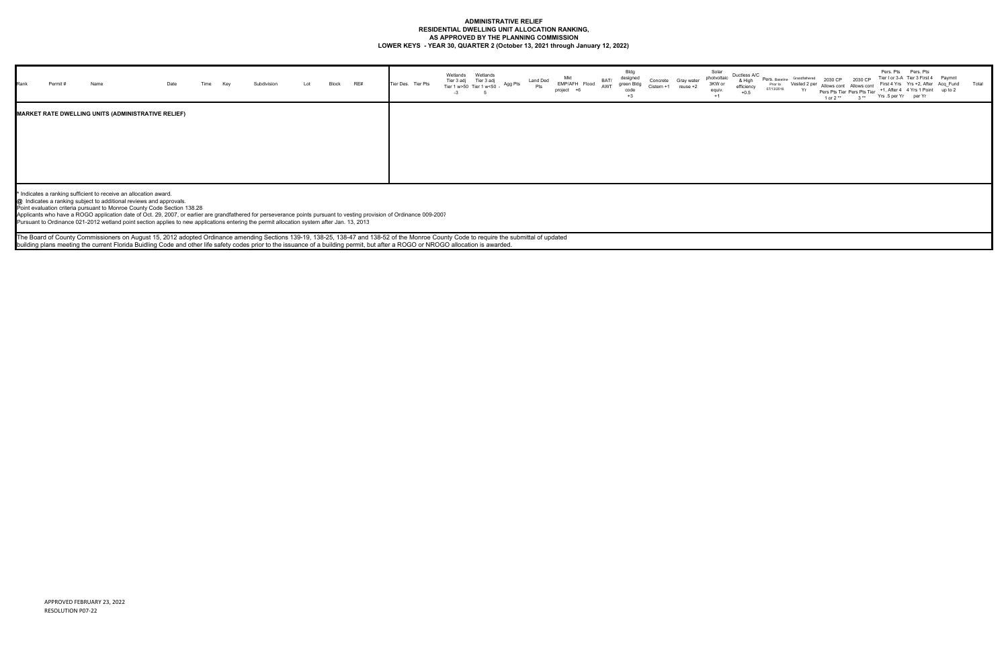#### **ADMINISTRATIVE RELIEF RESIDENTIAL DWELLING UNIT ALLOCATION RANKING, AS APPROVED BY THE PLANNING COMMISSION LOWER KEYS - YEAR 30, QUARTER 2 (October 13, 2021 through January 12, 2022)**

| Rank | Permit # | Name                                               | Date | Time | Key | Subdivision | Lot | Block | RE# | Tier Des. Tier Pts | Wetlands Wetlands<br>Tier 3 adj Tier 3 adj<br>Tier 1 w>50 Tier 1 w<50 -<br>$-3$<br>5 | Agg Pts | Land Ded<br>Pts | Mkt<br>EMP/AFH Flood<br>project +6 | BAT/<br>AWT | Bldg<br>designed<br>green Bldg<br>code<br>$+3$ | Concrete<br>Cistern +1 | Gray water<br>reuse +2 | Solar<br>Solar<br>photvoltaic Du<br>3KW or<br>equiv.<br>$+1$ | e |
|------|----------|----------------------------------------------------|------|------|-----|-------------|-----|-------|-----|--------------------|--------------------------------------------------------------------------------------|---------|-----------------|------------------------------------|-------------|------------------------------------------------|------------------------|------------------------|--------------------------------------------------------------|---|
|      |          | MARKET RATE DWELLING UNITS (ADMINISTRATIVE RELIEF) |      |      |     |             |     |       |     |                    |                                                                                      |         |                 |                                    |             |                                                |                        |                        |                                                              |   |

| Ductless A/C<br>& High<br>efficiency<br>$+0.5$ | Pers, Baseline<br>Prior to<br>07/13/2016 | Grandfathered<br>Vested 2 per<br>Yr | 2030 CP<br>Allows cont<br>1 or 2 ** | 2030 CP<br>Allows cont<br>Pers Pts Tier Pers Pts Tier<br>$3**$ | Pers. Pts<br>Yrs .5 per Yr | Pers. Pts<br>Tier I or 3-A Tier 3 First 4<br>First 4 Yrs Yrs +2, After Acq Fund<br>+1, After 4 4 Yrs 1 Point<br>per Yr | Paymnt<br>up to 2 | Total |
|------------------------------------------------|------------------------------------------|-------------------------------------|-------------------------------------|----------------------------------------------------------------|----------------------------|------------------------------------------------------------------------------------------------------------------------|-------------------|-------|
|                                                |                                          |                                     |                                     |                                                                |                            |                                                                                                                        |                   |       |
|                                                |                                          |                                     |                                     |                                                                |                            |                                                                                                                        |                   |       |
|                                                |                                          |                                     |                                     |                                                                |                            |                                                                                                                        |                   |       |
|                                                |                                          |                                     |                                     |                                                                |                            |                                                                                                                        |                   |       |

**\*** Indicates a ranking sufficient to receive an allocation award.

**@** Indicates a ranking subject to additional reviews and approvals.

Point evaluation criteria pursuant to Monroe County Code Section 138.28

Applicants who have a ROGO application date of Oct. 29, 2007, or earlier are grandfathered for perseverance points pursuant to vesting provision of Ordinance 009-2007

Pursuant to Ordinance 021-2012 wetland point section applies to new applications entering the permit allocation system after Jan. 13, 2013

The Board of County Commissioners on August 15, 2012 adopted Ordinance amending Sections 139-19, 138-25, 138-47 and 138-52 of the Monroe County Code to require the submittal of updated building plans meeting the current Florida Buidling Code and other life safety codes prior to the issuance of a building permit, but after a ROGO or NROGO allocation is awarded.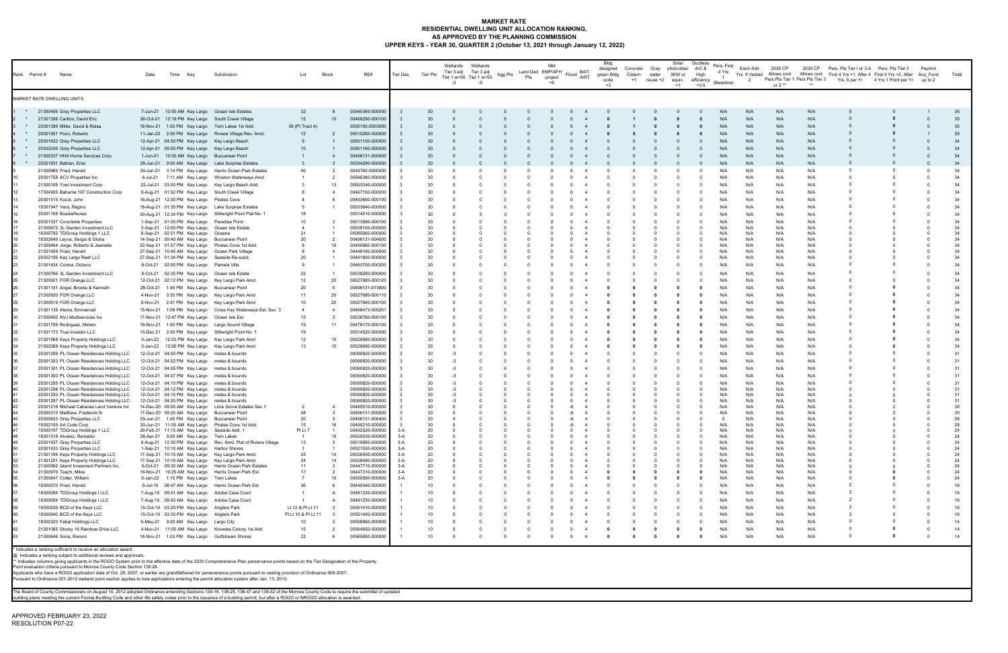#### **MARKET RATE RESIDENTIAL DWELLING UNIT ALLOCATION RANKING, AS APPROVED BY THE PLANNING COMMISSION UPPER KEYS - YEAR 30, QUARTER 2 (October 13, 2021 through January 12, 2022)**

| Rank Permit#<br>Name                                                                 | Date      | Key<br>Time                                                                                           | Subdivision                                                   | Lot                       | Block                | RE#                                | Tier Des.         | Tier Pts         | Wetlands<br>$-3$ | Wetlands<br>Tier 3 adj Tier 3 adj<br>Tier 1 w>50 Tier 1 w<50<br>-5 | Agg Pts | Land Ded EMP/AFH<br>Pts | Mkt<br>project<br>+6 | Flood BAT/<br>AWT | Bldg<br>designed<br>green Bldg<br>code<br>$+3$ | Concrete Gray<br>Cistern<br>$+1$ | water<br>reuse +2 | Solar<br>photvoltaic A/C &<br>3KW or<br>equiv.<br>$+1$ | Ductless<br>High<br>efficiency<br>$+0.5$ | Pers. First<br>4 Yrs<br>(Baseline) | Each Add<br>Yrs If Vested | 2030 CP<br>Allows cont<br>or 2 $**$ |            | 2030 CP Pers. Pts Tier I or 3-A Pers. Pts Tier 3 | Allows cont First 4 Yrs +1, After 4 First 4 Yrs +2, After Acq Fund<br>Pers Pts Tier 1 Pers Pts Tier 3 Yrs .5 per Yr 4 Yrs 1 Point per Yr up to 2 | Paymnt | Total    |
|--------------------------------------------------------------------------------------|-----------|-------------------------------------------------------------------------------------------------------|---------------------------------------------------------------|---------------------------|----------------------|------------------------------------|-------------------|------------------|------------------|--------------------------------------------------------------------|---------|-------------------------|----------------------|-------------------|------------------------------------------------|----------------------------------|-------------------|--------------------------------------------------------|------------------------------------------|------------------------------------|---------------------------|-------------------------------------|------------|--------------------------------------------------|--------------------------------------------------------------------------------------------------------------------------------------------------|--------|----------|
| MARKET RATE DWELLING UNITS                                                           |           |                                                                                                       |                                                               |                           |                      |                                    |                   |                  |                  |                                                                    |         |                         |                      |                   |                                                |                                  |                   |                                                        |                                          |                                    |                           |                                     |            |                                                  |                                                                                                                                                  |        |          |
| * 21300495 Grey Properties LLC                                                       |           | 7-Jun-21 10:50 AM Key Largo Ocean Isle Estates                                                        |                                                               | 32                        |                      | 00540360-000000                    |                   |                  |                  |                                                                    |         |                         |                      |                   |                                                |                                  |                   |                                                        |                                          |                                    | N/A                       | N/A                                 | N/A        |                                                  |                                                                                                                                                  |        | 35       |
| * 21301356 Carlton, David Eric                                                       |           | 26-Oct-21 12:19 PM Key Largo South Creek Village                                                      |                                                               | 12                        | 10 <sup>10</sup>     | 00468290-000100                    |                   |                  |                  |                                                                    |         |                         |                      |                   |                                                |                                  |                   |                                                        |                                          | N/A                                | N/A                       | N/A                                 | N/A        |                                                  |                                                                                                                                                  |        | 35       |
| * 20301399 Miller, David & Raisa                                                     |           | 18-Nov-21 1:50 PM Key Largo Twin Lakes 1st Add.                                                       |                                                               | 39 (Pt Tract A)           |                      | 0055100-0003900                    |                   |                  |                  |                                                                    |         |                         |                      |                   |                                                |                                  |                   |                                                        |                                          | N/A                                | N/A                       | N/A                                 | N/A        |                                                  |                                                                                                                                                  |        | 35       |
| * 20301951 Pozo, Roberto                                                             |           | 12-Apr-21 04:50 PM Key Largo Key Largo Beach                                                          | 11-Jan-22 2:50 PM Key Largo Riviera Village Rev. Amd.         | 12                        | 2                    | 00510280-000000<br>00501150-000000 |                   | 30               |                  |                                                                    |         |                         |                      |                   |                                                |                                  |                   |                                                        |                                          | N/A<br>N/A                         | N/A<br>N/A                | N/A<br>N/A                          | N/A<br>N/A |                                                  |                                                                                                                                                  |        | 35<br>34 |
| * 20301632 Grey Properties LLC<br>* 20302036 Grey Properties LLC                     |           | 12-Apr-21 05:00 PM Key Largo Key Largo Beach                                                          |                                                               | 10                        |                      | 00501160-000000                    |                   |                  |                  |                                                                    |         |                         |                      |                   |                                                |                                  |                   |                                                        | $\Omega$                                 | N/A                                | N/A                       | N/A                                 | N/A        |                                                  |                                                                                                                                                  |        | 34       |
| 21300337 HHA Home Services Corp                                                      |           | 1-Jun-21 10:50 AM Key Largo Buccaneer Point                                                           |                                                               |                           |                      | 00496131-009500                    |                   | 30               |                  |                                                                    |         |                         |                      |                   |                                                |                                  |                   |                                                        |                                          | N/A                                | N/A                       | N/A                                 | N/A        |                                                  |                                                                                                                                                  |        | 34       |
| * 20301831 Beltran, Eriel                                                            |           | 28-Jun-21 9:00 AM Key Largo Lake Surprise Estates                                                     |                                                               |                           |                      | 00534290-000000                    |                   |                  |                  |                                                                    |         |                         |                      |                   |                                                |                                  |                   |                                                        |                                          | N/A                                | N/A                       | N/A                                 | N/A        |                                                  |                                                                                                                                                  |        | 34       |
| 21300969 Fried, Harold                                                               | 30-Jun-21 |                                                                                                       | 3:14 PM Key Largo Harris Ocean Park Estates                   | 46                        | $\overline{2}$       | 0044760-0000000                    | $\mathbf{3}$      | 30               |                  |                                                                    |         |                         |                      |                   |                                                |                                  |                   |                                                        |                                          | N/A                                | N/A                       | N/A                                 | N/A        |                                                  | $\Omega$                                                                                                                                         |        | 34       |
| 20301758 ACV Properties Inc                                                          |           |                                                                                                       | 6-Jul-21 7:11 AM Key Largo Winston Waterways Amd              |                           | $\overline{2}$       | 00546380-000000                    | $_{\rm 3}$        | 30               |                  |                                                                    |         |                         |                      |                   |                                                |                                  |                   |                                                        |                                          | N/A                                | N/A                       | N/A                                 | N/A        |                                                  |                                                                                                                                                  |        | 34       |
| 21300109 Yoel Investment Corp                                                        |           | 22-Jul-21 03:00 PM Key Largo Key Largo Beach Add.                                                     |                                                               | -3                        | 13                   | 00503340-000000                    | $_{\rm 3}$        | 30               |                  |                                                                    |         |                         |                      |                   |                                                |                                  |                   |                                                        |                                          | N/A                                | N/A                       | N/A                                 | N/A        |                                                  |                                                                                                                                                  |        | 34       |
| 17304505 Bahama 167 Construction Corp                                                |           | 9-Aug-21 01:52 PM Key Largo South Creek Village                                                       |                                                               |                           | $\overline{4}$       | 00467150-000000                    | $_{3}$            | 30               |                  |                                                                    |         |                         |                      |                   |                                                |                                  |                   |                                                        | $\Omega$                                 | N/A                                | N/A                       | N/A                                 | N/A        |                                                  |                                                                                                                                                  |        | 34       |
| 20301515 Kocol, John                                                                 |           | 18-Aug-21 12:30 PM Key Largo Pirates Cove                                                             |                                                               | 4                         | 6                    | 00493600-000100                    | $_{\rm 3}$        | 30               |                  |                                                                    |         |                         |                      |                   |                                                |                                  |                   |                                                        |                                          | N/A                                | N/A                       | N/A                                 | N/A        |                                                  |                                                                                                                                                  |        | 34       |
| 19301947 Vera, Regino                                                                |           | 18-Aug-21 01:35 PM Key Largo Lake Surprise Estates                                                    |                                                               |                           | $\mathbf{1}$         | 00533640-000000                    | - 3               | 30               |                  |                                                                    |         |                         |                      |                   |                                                |                                  |                   |                                                        |                                          | N/A                                | N/A                       | N/A                                 | N/A        |                                                  |                                                                                                                                                  |        | 34       |
| 20301168 Boada/Nunez                                                                 |           |                                                                                                       | 30-Aug-21 12:34 PM Key Largo Stillwright Point Plat No. 1     | 18                        |                      | 00514510-000000                    | -3                | 30               |                  |                                                                    |         |                         |                      |                   |                                                |                                  |                   |                                                        |                                          | N/A                                | N/A                       | N/f                                 | N/A        |                                                  |                                                                                                                                                  |        | 34       |
| 20301537 Conchrete Properties<br>21300672 3L Garden Investment LLC                   |           | 1-Sep-21 01:00 PM Key Largo Paradise Point<br>3-Sep-21 12:00 PM Key Largo Ocean Isle Estate           |                                                               | 10<br>$\overline{4}$      |                      | 00513580-000100<br>00538100-000000 | - 3               | 30<br>30         |                  |                                                                    |         |                         |                      |                   |                                                |                                  |                   |                                                        |                                          | N/A<br>N/A                         | N/A<br>N/A                | N/A<br>N/A                          | N/A<br>N/A |                                                  |                                                                                                                                                  |        | 34<br>34 |
| 16305782 TDGroup Holdings 1 LLC                                                      |           | 8-Sep-21 02:51 PM Key Largo Oceana                                                                    |                                                               | 21                        |                      | 00085660-000000                    | -3                | 30               |                  |                                                                    |         |                         |                      |                   |                                                |                                  |                   |                                                        |                                          | N/A                                | N/A                       | N/A                                 | N/A        |                                                  |                                                                                                                                                  |        | 34       |
| 18302649 Leyva, Sergio & Gloria                                                      |           | 14-Sep-21 09:40 AM Key Largo Buccaneer Point                                                          |                                                               | 20                        | $\overline{2}$       | 00496131-004000                    | - 3               | 30               |                  |                                                                    |         |                         |                      |                   |                                                |                                  |                   |                                                        |                                          | N/A                                | N/A                       | N/A                                 | N/A        |                                                  |                                                                                                                                                  |        | 34       |
| 21300464 Jorge, Roberto & Jeanette<br>21301459 Fried, Harold                         |           | 22-Sep-21 01:57 PM Key Largo Pirates Cove 1st Add<br>27-Sep-21 10:45 AM Key Largo Ocean Park Village  |                                                               |                           | 19<br>$\overline{4}$ | 00495660-000100<br>00446180-000000 | - 3<br>$_{\rm 3}$ | 30<br>30         |                  |                                                                    |         |                         |                      |                   |                                                |                                  |                   |                                                        |                                          | N/A<br>N/A                         | N/A<br>N/A                | N/A<br>N/A                          | N/A<br>N/A |                                                  |                                                                                                                                                  |        | 34<br>34 |
| 20302106 Key Largo Reef LLC                                                          |           | 27-Sep-21 01:34 PM Key Largo Seaside Re-subd.                                                         |                                                               | 20                        |                      | 00491800-000000                    | - 3               | 30               |                  |                                                                    |         |                         |                      |                   |                                                |                                  |                   |                                                        |                                          | N/A                                | N/A                       | N/A                                 | N/A        |                                                  |                                                                                                                                                  |        | 34       |
| 21301434 Correa, Octavio                                                             |           | 6-Oct-21 02:00 PM Key Largo Pamela Villa                                                              |                                                               |                           |                      | 00463700-000300                    |                   | 30               |                  |                                                                    |         |                         |                      |                   |                                                |                                  |                   |                                                        |                                          | N/A                                | N/A                       | N/A                                 | N/A        |                                                  |                                                                                                                                                  |        | 34       |
| 21300766 3L Garden Investment LLC                                                    |           | 8-Oct-21 02:35 PM Key Largo Ocean Isle Estate                                                         |                                                               | 22                        |                      | 00538280-000000                    | - 3               | 30               |                  |                                                                    |         |                         |                      |                   |                                                |                                  |                   |                                                        |                                          | N/A                                | N/A                       | N/A                                 | N/A        |                                                  |                                                                                                                                                  |        | 34       |
| 21300921 FGR Orange LLC                                                              |           | 12-Oct-21 02:12 PM Key Largo Key Largo Park Amd.                                                      |                                                               | 12                        | 20                   | 00527680-000120                    | - 3               | 30               |                  |                                                                    |         |                         |                      |                   |                                                |                                  |                   |                                                        |                                          | N/A                                | N/A                       | N/A                                 | N/A        |                                                  |                                                                                                                                                  |        | 34       |
| 21301141 Angel, Brooks & Kenneth                                                     |           | 28-Oct-21 1:45 PM Key Largo Buccaneer Point                                                           |                                                               | 20                        | 5                    | 00496131-013800                    | -3                | 30               |                  |                                                                    |         |                         |                      |                   |                                                |                                  |                   |                                                        |                                          | N/A                                | N/A                       | N/f                                 | N/A        |                                                  |                                                                                                                                                  |        | 34       |
| 21300920 FGR Orange LLC                                                              |           | 4-Nov-21 3:35 PM Key Largo Key Largo Park Amd                                                         |                                                               | 11                        | 20                   | 00527680-00011                     | - 3               | 30               |                  |                                                                    |         |                         |                      |                   |                                                |                                  |                   |                                                        |                                          | N/A                                | N/A                       | N/A                                 | N/A        |                                                  |                                                                                                                                                  |        | 34       |
| 21300919 FGR Orange LLC                                                              |           | 9-Nov-21 2:47 PM Key Largo Key Largo Park Amd                                                         |                                                               | 10                        | 20                   | 00527680-000100                    | - 3               | 30               |                  |                                                                    |         |                         |                      |                   |                                                |                                  |                   |                                                        |                                          | N/A                                | N/A                       | N/A                                 | N/A        |                                                  |                                                                                                                                                  |        | 34       |
| 21301135 Alsina, Emmanuel                                                            |           |                                                                                                       | 15-Nov-21 1:06 PM Key Largo Cross Key Waterways Est. Sec. 3   | $\overline{4}$            | $\overline{4}$       | 00468473-005201                    | - 3               | 30               |                  |                                                                    |         |                         |                      |                   |                                                |                                  |                   |                                                        |                                          | N/A                                | N/A                       | N/A                                 | N/A        |                                                  |                                                                                                                                                  |        | 34       |
| 21300450 NVJ Multiservices Inc                                                       |           | 17-Nov-21 12:47 PM Key Largo Ocean Isle Est.                                                          |                                                               | 15                        | $\mathbf{3}$         | 00538760-000100                    | - 3               | 30               |                  |                                                                    |         |                         |                      |                   |                                                |                                  |                   |                                                        | - 0                                      | N/A                                | N/A                       | N/A                                 | N/A        |                                                  |                                                                                                                                                  |        | 34       |
| 21301795 Rodriguez, Miriam                                                           |           | 19-Nov-21 1:50 PM Key Largo Largo Sound Village                                                       |                                                               | 19                        | 11                   | 00476170-000100                    | - 3               | 30               |                  |                                                                    |         |                         |                      |                   |                                                |                                  |                   |                                                        |                                          | N/A                                | N/A                       | N/A                                 | N/A        |                                                  |                                                                                                                                                  |        | 34<br>34 |
| 21301173 True Investor LLC<br>21301968 Keys Property Holdings LLC                    |           | 15-Dec-21 2:50 PM Key Largo Stillwright Point No. 1<br>5-Jan-22 12:53 PM Key Largo Key Largo Park Amd |                                                               | 19<br>12                  | 15                   | 00514520-000000<br>00526680-000000 | -3                | 30<br>30         |                  |                                                                    |         |                         |                      |                   |                                                |                                  |                   |                                                        |                                          | N/A<br>N/A                         | N/A<br>N/A                | N/A<br>N/A                          | N/A<br>N/A |                                                  |                                                                                                                                                  |        | 34       |
| 21302069 Keys Property Holdings LLC                                                  |           | 5-Jan-22 12:58 PM Key Largo Key Largo Park Amd                                                        |                                                               | 13                        | 15                   | 00526690-000000                    |                   | 30               |                  |                                                                    |         |                         |                      |                   |                                                |                                  |                   |                                                        |                                          | N/A                                | N/A                       | N/A                                 | N/A        |                                                  |                                                                                                                                                  |        | 34       |
| 20301299 PL Ocean Residences Holding LLC                                             |           | 12-Oct-21 04:00 PM Key Largo metes & bounds                                                           |                                                               |                           |                      | 00090820-000000                    |                   | 30               |                  |                                                                    |         |                         |                      |                   |                                                |                                  |                   |                                                        |                                          | N/A                                | N/A                       | N/A                                 | N/A        |                                                  |                                                                                                                                                  |        | 31       |
| 20301303 PL Ocean Residences Holding LLC                                             |           | 12-Oct-21 04:02 PM Key Largo metes & bounds                                                           |                                                               |                           |                      | 00090820-000000                    |                   | 30               |                  |                                                                    |         |                         |                      |                   |                                                |                                  |                   |                                                        |                                          | N/A                                | N/A                       | N/A                                 | N/A        |                                                  |                                                                                                                                                  |        | 31       |
| 20301301 PL Ocean Residences Holding LLC                                             |           | 12-Oct-21 04:05 PM Key Largo metes & bounds                                                           |                                                               |                           |                      | 00090820-000000                    |                   | 30               |                  |                                                                    |         |                         |                      |                   |                                                |                                  |                   |                                                        |                                          | N/A                                | N/A                       | N/A                                 | N/A        |                                                  |                                                                                                                                                  |        | 31       |
| 20301300 PL Ocean Residences Holding LLC                                             |           | 12-Oct-21 04:07 PM Key Largo metes & bounds                                                           |                                                               |                           |                      | 00090820-000000                    |                   | 30               |                  |                                                                    |         |                         |                      |                   |                                                |                                  |                   |                                                        |                                          | N/A                                | N/A                       | N/A                                 | N/A        |                                                  |                                                                                                                                                  |        | 31       |
| 20301295 PL Ocean Residences Holding LLC                                             |           | 12-Oct-21 04:10 PM Key Largo                                                                          | metes & bounds                                                |                           |                      | 00090820-000000                    | - 3               | 30               |                  |                                                                    |         |                         |                      |                   |                                                |                                  |                   |                                                        |                                          | N/A                                | N/A                       | N/A                                 | N/A        |                                                  |                                                                                                                                                  |        | 31       |
| 20301298 PL Ocean Residences Holding LLC                                             |           | 12-Oct-21 04:12 PM Key Largo metes & bounds                                                           |                                                               |                           |                      | 00090820-000000<br>00090820-000000 | - 3<br>$_{\rm 3}$ | 30<br>30         |                  |                                                                    |         |                         |                      |                   |                                                |                                  |                   |                                                        |                                          | N/A<br>N/A                         | N/A<br>N/A                | N/A<br>N/A                          | N/A<br>N/A |                                                  |                                                                                                                                                  |        | 31<br>31 |
| 20301293 PL Ocean Residences Holding LLC<br>20301297 PL Ocean Residences Holding LLC |           | 12-Oct-21 04:15 PM Key Largo metes & bounds<br>12-Oct-21 04:20 PM Key Largo metes & bounds            |                                                               |                           |                      | 00090820-000000                    |                   | 30               |                  |                                                                    |         |                         |                      |                   |                                                |                                  |                   |                                                        |                                          | N/A                                | N/A                       | N/A                                 | N/A        |                                                  |                                                                                                                                                  |        | 31       |
| 20301216 Michael Cabanas Land Venture Inc                                            |           |                                                                                                       | 14-Dec-20 09:55 AM Key Largo Lime Grove Estates Sec 1         | $\overline{2}$            |                      | 00485510-000000                    |                   | 30               |                  |                                                                    |         |                         |                      |                   |                                                |                                  |                   |                                                        |                                          | N/A                                | N/A                       | N/A                                 | N/A        |                                                  |                                                                                                                                                  |        | 30       |
| 20300310 Matthew, Frederick N<br>20300633 Grey Properties LLC                        |           | 17-Dec-20 09:20 AM Key Largo Buccaneer Point<br>29-Jun-21 1:45 PM Key Largo Buccaneer Point           |                                                               | 48<br>20                  | - 3<br>- 3           | 00496131-009200<br>00496131-006400 | - 3<br>$_{\rm 3}$ | 30<br>30         |                  |                                                                    |         |                         |                      |                   |                                                |                                  |                   |                                                        |                                          | N/A<br>$\Omega$                    | N/A<br>N/A                | N/A<br>N/A                          | N/A<br>N/A |                                                  |                                                                                                                                                  |        | 30<br>28 |
| 19302159 Art Code Corp                                                               |           | 30-Jun-21 11:00 AM Key Largo Pirates Cove 1st Add                                                     |                                                               | 15                        | 16                   | 00495210-000000                    | $_{\rm 3}$        | 30               |                  |                                                                    |         |                         | $\Omega$             | -6                |                                                |                                  |                   |                                                        | $\sqrt{ }$                               | N/A                                | N/A                       | N/A                                 | N/A        |                                                  |                                                                                                                                                  |        | 28       |
| 19300197 TDGroup Holdings 1 LLC                                                      |           | 26-Feb-21 11:15 AM Key Largo Seaside Add. 1                                                           |                                                               | Pt Lt 7                   |                      | 00492520-000000                    | $3-A$             | 20               |                  |                                                                    |         |                         |                      |                   |                                                |                                  |                   |                                                        |                                          | N/A                                | N/A                       | N/A                                 | N/A        |                                                  |                                                                                                                                                  |        | 24       |
| 18301518 Alvarez, Reinaldo<br>20301937 Grey Properties LLC                           |           | 28-Apr-21 9:00 AM Key Largo Twin Lakes                                                                | 9-Aug-21 12:30 PM Key Largo Rev. Amd. Plat of Riviera Village | $\overline{1}$<br>13      | 19<br>$_{3}$         | 00550530-000000<br>00510660-000000 | $3-A$<br>$3-A$    | 20<br>20         |                  |                                                                    |         |                         |                      |                   |                                                |                                  |                   |                                                        |                                          | N/A<br>N/A                         | N/A<br>N/A                | N/A<br>N/A                          | N/A<br>N/A |                                                  |                                                                                                                                                  |        | 24<br>24 |
| 20301633 Grey Properties LLC                                                         |           | 1-Sep-21 10:10 AM Key Largo Harbor Shores                                                             |                                                               | $\overline{1}$            |                      | 00521530-000000                    | $3-A$             | 20               |                  |                                                                    |         |                         |                      |                   |                                                |                                  |                   |                                                        |                                          | N/A                                | N/A                       | N/A                                 | N/A        |                                                  |                                                                                                                                                  |        | 24       |
| 21301199 Keys Property Holdings LLC                                                  |           | 17-Sep-21 10:15 AM Key Largo Key Largo Park Amd.                                                      |                                                               | 25                        | 14                   | 00526500-000000                    | 3-A               | 20               |                  |                                                                    |         |                         |                      |                   |                                                |                                  |                   |                                                        |                                          | N/A                                | N/A                       | N/A                                 | N/A        |                                                  |                                                                                                                                                  |        | 24       |
| 21301201 Keys Property Holdings LLC<br>21300562 Island Invesment Partners Inc.       |           | 17-Sep-21 10:16 AM Key Largo Key Largo Park Amd.                                                      | 5-Oct-21 09:30 AM Key Largo Harris Ocean Park Estates         | 24<br>11                  | 14<br>$\mathbf{3}$   | 00526490-000000<br>00447710-000000 | $3-A$<br>3-A      | 20<br>20         |                  |                                                                    |         |                         |                      |                   |                                                |                                  |                   |                                                        |                                          | N/A<br>N/A                         | N/A<br>N/A                | N/A<br>N/A                          | N/A<br>N/A |                                                  |                                                                                                                                                  |        | 24<br>24 |
| 21300976 Teach, Miles                                                                |           |                                                                                                       | 19-Nov-21 10:25 AM Key Largo Harris Ocean Park Est.           | 17                        | $\overline{2}$       | 00447310-000000                    | 3-A               | 20               |                  |                                                                    |         |                         |                      |                   |                                                |                                  |                   |                                                        |                                          | N/A                                | N/A                       | N/A                                 | N/A        |                                                  |                                                                                                                                                  |        | 24       |
| 21300847 Cotter, William                                                             |           | 5-Jan-22 1:15 PM Key Largo Twin Lakes                                                                 |                                                               | $\overline{7}$            | 19                   | 00550590-000000                    | $3-A$             | 20               |                  |                                                                    |         |                         |                      |                   |                                                |                                  |                   |                                                        |                                          | N/A                                | N/A                       | N/A                                 | N/A        |                                                  |                                                                                                                                                  |        | 24       |
| 19300570 Fried, Harold                                                               |           | 9-Jul-19 08:47 AM Key Largo Harris Ocean Park Est                                                     |                                                               | 36                        |                      | 00449340-000000                    | $\overline{1}$    | 10               |                  |                                                                    |         |                         |                      |                   |                                                |                                  |                   |                                                        |                                          | N/A                                | N/A                       | N/A                                 | N/A        |                                                  |                                                                                                                                                  |        | 16       |
| 18300094 TDGroup Holdings I LLC                                                      |           | 7-Aug-19 09:41 AM Key Largo Adobe Casa Court                                                          |                                                               | $\overline{1}$            |                      | 00481230-000000                    |                   | 10               |                  |                                                                    |         |                         |                      |                   |                                                |                                  |                   |                                                        |                                          | N/A                                | N/A                       | N/A                                 | N/A        |                                                  |                                                                                                                                                  |        | 16       |
| 18300094 TDGroup Holdings I LLC                                                      |           | 7-Aug-19 09:42 AM Key Largo Adobe Casa Court                                                          |                                                               |                           |                      | 00481230-000000                    |                   | 10               |                  |                                                                    |         |                         |                      |                   |                                                |                                  |                   |                                                        | $\Omega$                                 | N/A                                | N/A                       | N/A                                 | N/A        |                                                  |                                                                                                                                                  |        | 16       |
| 19300539 BCD of the Keys LLC                                                         |           | 15-Oct-19 03:20 PM Key Largo Anglers Park                                                             |                                                               | Lt 12 & Pt Lt 11          | $_{\rm 3}$<br>- 3    | 00551410-000000<br>00551400-000000 |                   | 10<br>10         |                  |                                                                    |         |                         |                      |                   |                                                |                                  |                   |                                                        |                                          | N/A<br>N/A                         | N/A<br>N/A                | N/A<br>N/A                          | N/A<br>N/A |                                                  |                                                                                                                                                  |        | 16<br>16 |
| 19300540 BCD of the Keys LLC<br>18300323 Fabel Holdings LLC                          |           | 15-Oct-19 03:30 PM Key Largo Anglers Park<br>6-May-21 9:20 AM Key Largo Largo City                    |                                                               | Pt Lt 10 & Pt Lt 11<br>10 | -3                   | 00508990-000000                    |                   | 10               |                  |                                                                    |         |                         |                      |                   |                                                |                                  |                   |                                                        |                                          | N/A                                | N/A                       | N/A                                 | N/A        |                                                  |                                                                                                                                                  |        | 14       |
| 21301065 Stocky 16 Rainbow Drive LLC                                                 |           |                                                                                                       | 4-Nov-21 11:00 AM Key Largo Knowles Colony 1st Add            | 15                        |                      | 00564650-000000                    |                   | 10               |                  |                                                                    |         |                         |                      |                   |                                                |                                  |                   |                                                        |                                          | N/A                                | N/A                       | N/A                                 | N/A        |                                                  |                                                                                                                                                  |        | 14       |
| 21300646 Soria, Ramon                                                                |           | 16-Nov-21 1:03 PM Key Largo Gulfstream Shores                                                         |                                                               | 22                        | 6                    | 00565850-000000                    |                   | 10 <sup>10</sup> |                  |                                                                    |         |                         |                      |                   |                                                |                                  |                   |                                                        |                                          | N/A                                | N/A                       | N/A                                 | N/A        |                                                  |                                                                                                                                                  |        | 14       |
| * Indicates a ranking sufficient to receive an allocation award                      |           |                                                                                                       |                                                               |                           |                      |                                    |                   |                  |                  |                                                                    |         |                         |                      |                   |                                                |                                  |                   |                                                        |                                          |                                    |                           |                                     |            |                                                  |                                                                                                                                                  |        |          |

\* Indicates a ranking sufficient to receive an allocation award.<br>@ Indicates a ranking subject to additional reviews and approvals.<br>\*\* Indicates columns giving applicatns in the ROGO System prior to the effective date of

The Board of County Commissioners on August 15, 2012 adopted Ordinance amending Sections 139-19, 138-25, 138-47 and 138-52 of the Monroe County Code to require the submittal of updated<br>building plans meeting the current Fl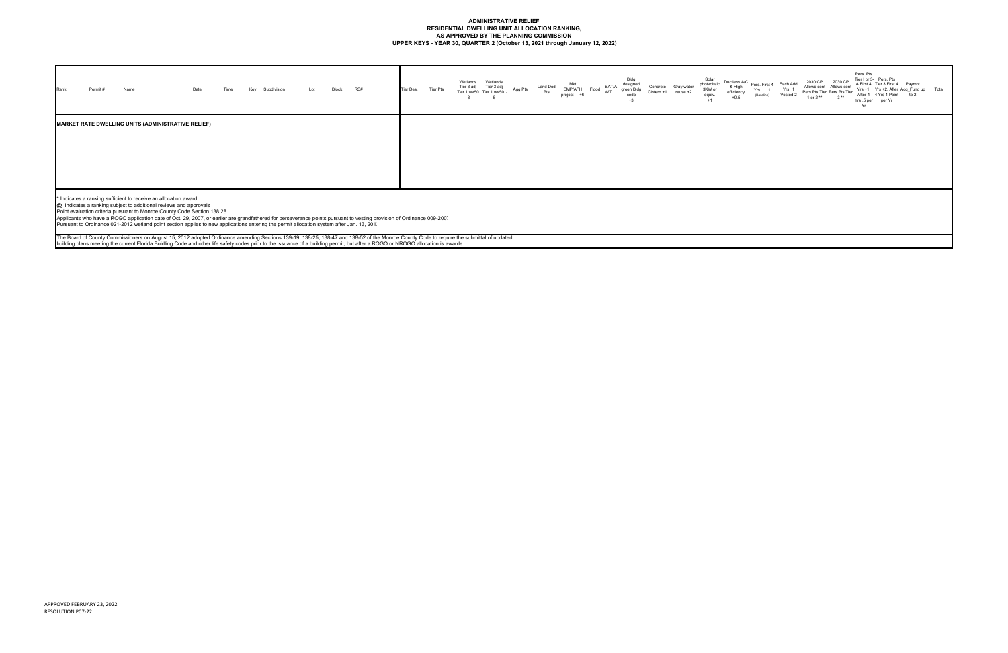# **ADMINISTRATIVE RELIEF RESIDENTIAL DWELLING UNIT ALLOCATION RANKING, AS APPROVED BY THE PLANNING COMMISSION UPPER KEYS - YEAR 30, QUARTER 2 (October 13, 2021 through January 12, 2022)**

| Permit#<br>Name<br>Rank                                   | Time<br>Date | Key<br>Subdivision | Lot | Block | RE# | Tier Des. | Tier Pts | Wetlands<br>Wetlands<br>Tier 3 adj Tier 3 adj<br>Tier 1 w>50 Tier 1 w<50 -<br>$-3$<br>-5 | Land Ded<br>Agg Pts<br>Pts | Mkt<br>Flood BAT/A<br>EMP/AFH<br>project +6 | Bldg<br>designed<br>green Bldg<br>code<br>$+3$ | Concrete<br>Cistern +1 | Gray water<br>$reuse +2$ | Solar<br>photvoltaic<br>3KW or<br>equiv.<br>$+1$ | Ductless A/C<br>& High<br>efficiency<br>+0.5 |
|-----------------------------------------------------------|--------------|--------------------|-----|-------|-----|-----------|----------|------------------------------------------------------------------------------------------|----------------------------|---------------------------------------------|------------------------------------------------|------------------------|--------------------------|--------------------------------------------------|----------------------------------------------|
| <b>MARKET RATE DWELLING UNITS (ADMINISTRATIVE RELIEF)</b> |              |                    |     |       |     |           |          |                                                                                          |                            |                                             |                                                |                        |                          |                                                  |                                              |

\* Indicates a ranking sufficient to receive an allocation award<br>@\_Indicates a ranking subject to additional reviews and approvals<br>Point evaluation criteria pursuant to Monroe County Code Section 138.2ξ<br>Applicants who have

The Board of County Commissioners on August 15, 2012 adopted Ordinance amending Sections 139-19, 138-25, 138-47 and 138-52 of the Monroe County Code to require the submittal of updated<br>building plans meeting the current Fl

| A/C<br>h<br>cy | Pers. First 4<br>Yrs<br>$\overline{1}$<br>(Baseline) | Each Add<br>Yrs If<br>Vested 2 | 2030 CP<br>Allows cont Allows cont<br>Pers Pts Tier Pers Pts Tier<br>1 or 2 ** | 2030 CP<br>$3**$ | Pers. Pts<br>Yrs .5 per<br>Yr | Tier I or 3- Pers, Pts<br>A First 4 Tier 3 First 4<br>After 4 4 Yrs 1 Point<br>per Yr | Paymnt<br>Yrs +1, Yrs +2, After Acq Fund up<br>to $2$ | Total |
|----------------|------------------------------------------------------|--------------------------------|--------------------------------------------------------------------------------|------------------|-------------------------------|---------------------------------------------------------------------------------------|-------------------------------------------------------|-------|
|                |                                                      |                                |                                                                                |                  |                               |                                                                                       |                                                       |       |
|                |                                                      |                                |                                                                                |                  |                               |                                                                                       |                                                       |       |
|                |                                                      |                                |                                                                                |                  |                               |                                                                                       |                                                       |       |
|                |                                                      |                                |                                                                                |                  |                               |                                                                                       |                                                       |       |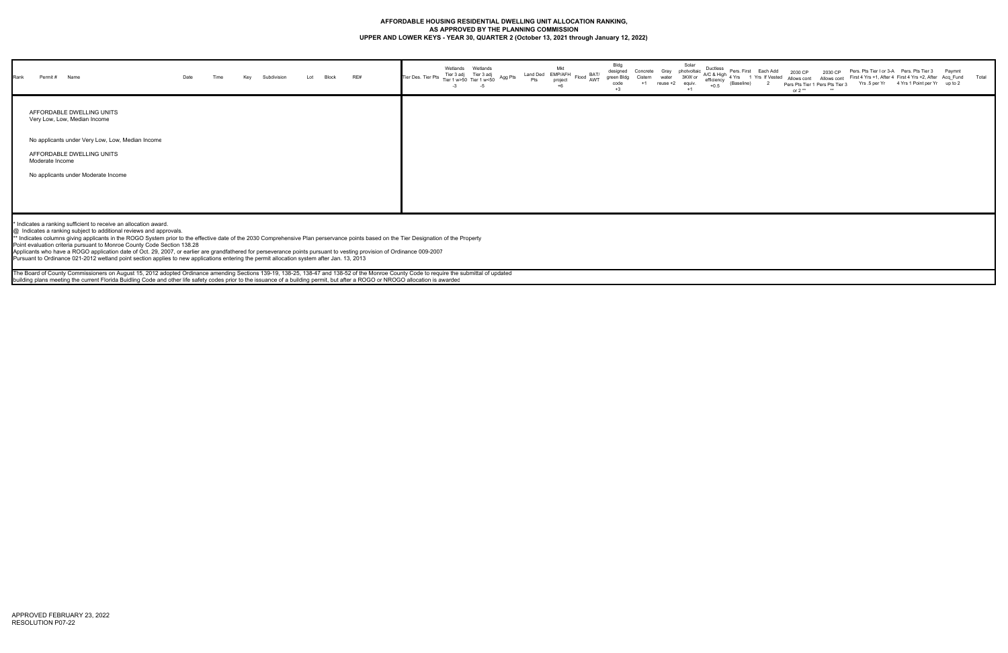## **AFFORDABLE HOUSING RESIDENTIAL DWELLING UNIT ALLOCATION RANKING, AS APPROVED BY THE PLANNING COMMISSION UPPER AND LOWER KEYS - YEAR 30, QUARTER 2 (October 13, 2021 through January 12, 2022)**

| Rank<br>Permit # Name                                                                            | Date | Time | Key | Subdivision | Lot | <b>Block</b> | RE# | Tier Des. Tier Pts Tier 1 w>50 Tier 1 w<50 $\sim$ | -3 | Wetlands Wetlands<br>Tier 3 adj Tier 3 adj<br>-5 | Agg Pts | Land Ded EMP/AFH<br>Flood AWT straight Flood AWT green | Mkt<br>project | Bldg<br>designed<br>green Bldg<br>code<br>$+3$ | Concrete Gray photvoltaic<br>$+1$ | water<br>reuse +2 | Solar<br>3KW or<br>equiv. | Ductless<br>efficiency<br>$+0.5$ | Pers. First Each Add<br>$\sim$ AC & High 4 Yrs 1 Yrs If Vested<br>(Baseline) | 2030 CP<br>or $2**$ | 2030 CP<br>Allows cont Allows cont<br>Pers Pts Tier 1 Pers Pts Tier 3 | Pers. Pts Tier I or 3-A  Pers. Pts Tier 3<br>First 4 Yrs +1, After 4 First 4 Yrs +2, After Acq_Fund<br>Yrs .5 per Yr 4 Yrs 1 Point per Yr up to 2 | Paymnt | Total |
|--------------------------------------------------------------------------------------------------|------|------|-----|-------------|-----|--------------|-----|---------------------------------------------------|----|--------------------------------------------------|---------|--------------------------------------------------------|----------------|------------------------------------------------|-----------------------------------|-------------------|---------------------------|----------------------------------|------------------------------------------------------------------------------|---------------------|-----------------------------------------------------------------------|---------------------------------------------------------------------------------------------------------------------------------------------------|--------|-------|
| AFFORDABLE DWELLING UNITS<br>Very Low, Low, Median Income                                        |      |      |     |             |     |              |     |                                                   |    |                                                  |         |                                                        |                |                                                |                                   |                   |                           |                                  |                                                                              |                     |                                                                       |                                                                                                                                                   |        |       |
| No applicants under Very Low, Low, Median Income<br>AFFORDABLE DWELLING UNITS<br>Moderate Income |      |      |     |             |     |              |     |                                                   |    |                                                  |         |                                                        |                |                                                |                                   |                   |                           |                                  |                                                                              |                     |                                                                       |                                                                                                                                                   |        |       |
| No applicants under Moderate Income                                                              |      |      |     |             |     |              |     |                                                   |    |                                                  |         |                                                        |                |                                                |                                   |                   |                           |                                  |                                                                              |                     |                                                                       |                                                                                                                                                   |        |       |

The Board of County Commissioners on August 15, 2012 adopted Ordinance amending Sections 139-19, 138-25, 138-47 and 138-52 of the Monroe County Code to require the submittal of updated building plans meeting the current Florida Buidling Code and other life safety codes prior to the issuance of a building permit, but after a ROGO or NROGO allocation is awarded

\* Indicates a ranking sufficient to receive an allocation award.

@ Indicates a ranking subject to additional reviews and approvals.

\*\* Indicates columns giving applicants in the ROGO System prior to the effective date of the 2030 Comprehensive Plan perservance points based on the Tier Designation of the Property

Point evaluation criteria pursuant to Monroe County Code Section 138.28

Applicants who have a ROGO application date of Oct. 29, 2007, or earlier are grandfathered for perseverance points pursuant to vesting provision of Ordinance 009-2007

Pursuant to Ordinance 021-2012 wetland point section applies to new applications entering the permit allocation system after Jan. 13, 2013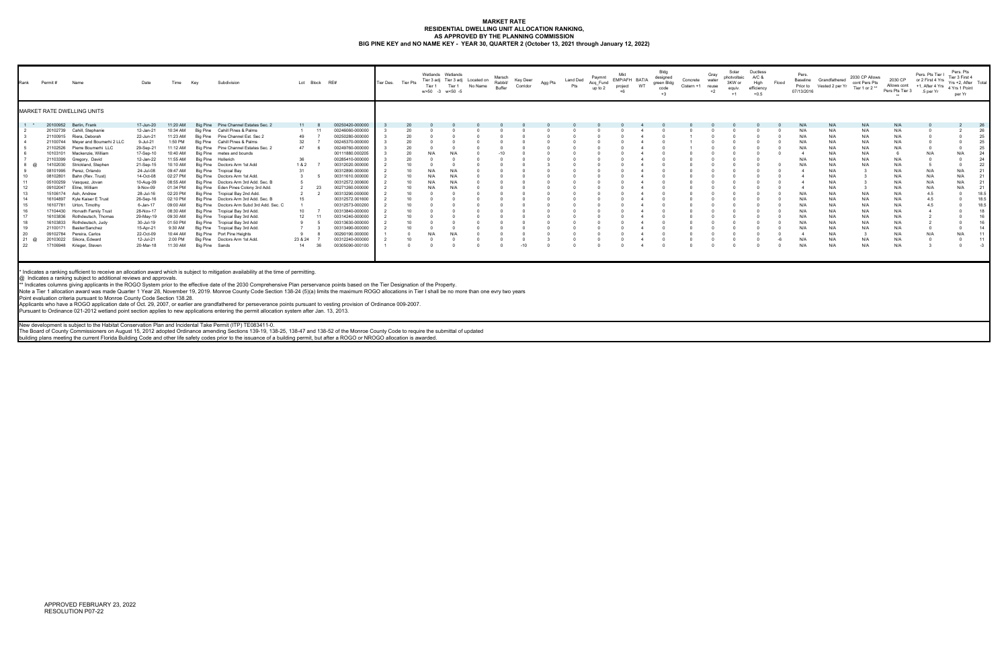#### **MARKET RATE RESIDENTIAL DWELLING UNIT ALLOCATION RANKING, AS APPROVED BY THE PLANNING COMMISSION BIG PINE KEY and NO NAME KEY - YEAR 30, QUARTER 2 (October 13, 2021 through January 12, 2022)**

| Rank  | Permit # | Name                              | Date      | Time     | Key            | Subdivision                               |                 | Lot Block RE# |                 | Tier Des. | Tier Pts | Tier 1   | Wetlands Wetlands<br>Tier 1<br>w>50 -3 w<50 -5 | Tier 3 adj Tier 3 adj Located on<br>No Name | Marsch<br>Rabbit/<br>Buffer | Key Deer<br>Corridor | Agg Pts | Land Ded<br>Pts | Paymnt<br>Acq_Fund<br>up to 2 | EMP/AFH BAT/A<br>project<br>$+6$ | WT | Bldg<br>designed<br>green Bldg<br>code<br>$+3$ | Concrete<br>Cistern +1 | Gray<br>water<br>reuse<br>$+2$ | Solar<br>photvoltaic<br>3KW or<br>equiv.<br>$+1$ | Ductless<br>A/C &<br>High<br>efficiency<br>$+0.5$ | Flood | Pers.<br>Baseline<br>Prior to<br>07/13/2016 | Grandfathered<br>Vested 2 per Yr | 2030 CP Allows<br>cont Pers Pts<br>Tier 1 or 2** | 2030 CP<br>Allows cont<br>Pers Pts Tier 3 | Pers. Pts Tier I<br>or 2 First 4 Yrs<br>+1, After 4 Yrs<br>.5 per Yr | Pers. Pts<br>Tier 3 First 4<br>Yrs +2, After Total<br>4 Yrs 1 Point<br>per Yr |      |
|-------|----------|-----------------------------------|-----------|----------|----------------|-------------------------------------------|-----------------|---------------|-----------------|-----------|----------|----------|------------------------------------------------|---------------------------------------------|-----------------------------|----------------------|---------|-----------------|-------------------------------|----------------------------------|----|------------------------------------------------|------------------------|--------------------------------|--------------------------------------------------|---------------------------------------------------|-------|---------------------------------------------|----------------------------------|--------------------------------------------------|-------------------------------------------|----------------------------------------------------------------------|-------------------------------------------------------------------------------|------|
|       |          | MARKET RATE DWELLING UNITS        |           |          |                |                                           |                 |               |                 |           |          |          |                                                |                                             |                             |                      |         |                 |                               |                                  |    |                                                |                        |                                |                                                  |                                                   |       |                                             |                                  |                                                  |                                           |                                                                      |                                                                               |      |
| $1 *$ | 20100952 | Berlin, Frank                     | 17-Jun-20 | 11:20 AM |                | Big Pine Pine Channel Estates Sec. 2      | 11              |               | 00250420-000000 |           |          |          |                                                |                                             |                             |                      |         |                 |                               |                                  |    |                                                |                        |                                |                                                  |                                                   |       | N/f                                         | N/A                              | N/A                                              | N/A                                       |                                                                      |                                                                               | 26   |
|       | 20102739 | Cahill, Stephanie                 | 12-Jan-21 | 10:34 AM |                | Big Pine Cahill Pines & Palms             |                 |               | 00246060-000000 |           | 20       |          |                                                |                                             |                             |                      |         |                 |                               |                                  |    |                                                |                        |                                |                                                  |                                                   |       | N/f                                         | N/A                              | N/A                                              | N/A                                       |                                                                      |                                                                               | 26   |
|       | 21100915 | Riera, Deborah                    | 22-Jun-21 | 11:23 AM |                | Big Pine Pine Channel Est. Sec 2          | 49              |               | 00250280-000000 |           | 20       |          |                                                |                                             |                             |                      |         |                 |                               |                                  |    |                                                |                        |                                |                                                  |                                                   |       | N/f                                         | N/A                              | N/A                                              | N/A                                       |                                                                      |                                                                               | 25   |
|       |          | 21100744 Meyer and Boumerhi 2 LLC | 9-Jul-21  | 1:50 PM  |                | Big Pine Cahill Pines & Palms             | 32              |               | 00245370-000000 |           |          |          |                                                |                                             |                             |                      |         |                 |                               |                                  |    |                                                |                        |                                |                                                  |                                                   |       | N/f                                         | N/A                              | N/A                                              | N/A                                       |                                                                      |                                                                               | 25   |
|       | 21102526 | Pierre Boumerhi LLC               | 29-Sep-21 | 11:12 AM |                | Big Pine Pine Channel Estates Sec. 2      | 47              |               | 00249760-000000 |           | 20       |          |                                                |                                             |                             |                      |         |                 |                               |                                  |    |                                                |                        |                                |                                                  |                                                   |       | N/f                                         | N/A                              | N/A                                              | N/A                                       |                                                                      |                                                                               | 25   |
|       | 10103101 | Mackenzie, William                | 17-Sep-10 | 10:40 AM |                | Big Pine metes and bounds                 |                 |               | 00111880.000205 |           | 20       |          |                                                |                                             |                             |                      |         |                 |                               |                                  |    |                                                |                        |                                |                                                  |                                                   |       |                                             | N/A                              | N/A                                              |                                           | N/L                                                                  | N/A                                                                           | 24   |
|       | 21103399 | Gregory, David                    | 12-Jan-22 | 11:55 AM |                | Big Pine Hollerich                        |                 |               | 00285410-000000 |           | 20       |          |                                                |                                             |                             |                      |         |                 |                               |                                  |    |                                                |                        |                                |                                                  |                                                   |       | N/A                                         | N/f                              | N/A                                              | N/A                                       |                                                                      |                                                                               | 24   |
|       | 14102030 | Strickland, Stephen               | 21-Sep-15 | 10:10 AM | Big Pine       | Doctors Arm 1st Add                       | 1&2             |               | 00312020.000000 |           | 10       |          |                                                |                                             |                             |                      |         |                 |                               |                                  |    |                                                |                        |                                |                                                  |                                                   |       | N/f                                         | N/A                              | N/A                                              | N/A                                       |                                                                      |                                                                               | 22   |
|       | 08101995 | Perez, Orlando                    | 24-Jul-08 | 09:47 AM |                | Big Pine Tropical Bay                     |                 |               | 00312890.000000 |           | 10       | N/A      | N/A                                            |                                             |                             |                      |         |                 |                               |                                  |    |                                                |                        |                                |                                                  |                                                   |       |                                             | N/A                              |                                                  | N/A                                       | N/P                                                                  | N/A                                                                           | 21   |
| 10    | 08102801 | Bahn (Rev. Trust)                 | 14-Oct-08 | 02:27 PM |                | Big Pine Doctors Arm 1st Add.             |                 |               | 00311610.000000 |           | 10       | $N/\rho$ | N/f                                            |                                             |                             |                      |         |                 |                               |                                  |    |                                                |                        |                                |                                                  |                                                   |       |                                             | N/A                              |                                                  | N/A                                       | N/A                                                                  | N/A                                                                           | 21   |
| 11    | 05100259 | Vasquez, Jovan                    | 10-Aug-09 | 08:55 AM |                | Big Pine Doctors Arm 3rd Add. Sec. B      |                 |               | 00312572.000600 |           | 10       | N/A      | N/f                                            |                                             |                             |                      |         |                 |                               |                                  |    |                                                |                        |                                |                                                  |                                                   |       |                                             | N/f                              |                                                  | N/A                                       | N/A                                                                  | N/A                                                                           | 21   |
| 12    | 09102047 | Eline, William                    | 9-Nov-09  | 01:34 PM |                | Big Pine Eden Pines Colony 3rd Add.       |                 | 23            | 00271260.000000 |           | 10       | $N/\rho$ | N/I                                            |                                             |                             |                      |         |                 |                               |                                  |    |                                                |                        |                                |                                                  |                                                   |       |                                             | N/f                              |                                                  | N/A                                       | N/A                                                                  | N/A                                                                           | 21   |
| 13    | 15106174 | Ash, Andrew                       | 28-Jul-16 | 02:20 PM |                | Big Pine Tropical Bay 2nd Add.            |                 |               | 00313290.000000 |           | 10       |          |                                                |                                             |                             |                      |         |                 |                               |                                  |    |                                                |                        |                                |                                                  |                                                   |       |                                             | N/f                              | N/A                                              | N/A                                       | 4.5                                                                  |                                                                               | 18.5 |
| 14    | 16104897 | Kyle Kaiser E Trust               | 26-Sep-16 | 02:10 PM |                | Big Pine Doctors Arm 3rd Add. Sec. B      | 15              |               | 00312572.001600 |           | 10       |          |                                                |                                             |                             |                      |         |                 |                               |                                  |    |                                                |                        |                                |                                                  |                                                   |       | N/f                                         | N/f                              | N/A                                              | N/A                                       | 4.5                                                                  |                                                                               | 18.5 |
| 15    |          | 16107781 Urton, Timothy           | 6-Jan-17  | 09:00 AM |                | Big Pine Doctors Arm Subd 3rd Add. Sec. C |                 |               | 00312573-000200 |           | 10       |          |                                                |                                             |                             |                      |         |                 |                               |                                  |    |                                                |                        |                                |                                                  |                                                   |       | N/f                                         | N/A                              | N/A                                              | N/A                                       | 4.5                                                                  |                                                                               | 18.5 |
| 16    | 17104430 | <b>Horvath Family Trust</b>       | 28-Nov-17 | 08:30 AM |                | Big Pine Tropical Bay 3rd Add.            | 10              |               | 00313840-000000 |           |          |          |                                                |                                             |                             |                      |         |                 |                               |                                  |    |                                                |                        |                                |                                                  |                                                   |       | N/f                                         | N/A                              | N/A                                              | N/A                                       |                                                                      |                                                                               | 18   |
| 17    | 16103836 | Rothdeutsch, Thomas               | 29-May-19 | 09:30 AM |                | Big Pine Tropical Bay 3rd Add.            | 12 <sup>2</sup> |               | 00314240-000000 |           | 10       |          |                                                |                                             |                             |                      |         |                 |                               |                                  |    |                                                |                        |                                |                                                  |                                                   |       | N/f                                         | N/A                              | N/A                                              | N/A                                       |                                                                      |                                                                               | 16   |
| 18    | 16103833 | Rothdeutsch, Judy                 | 30-Jul-19 | 01:50 PM |                | Big Pine Tropical Bay 3rd Add             |                 |               | 00313630-000000 |           |          |          |                                                |                                             |                             |                      |         |                 |                               |                                  |    |                                                |                        |                                |                                                  |                                                   |       | N/A                                         | N/A                              | N/A                                              | N/A                                       |                                                                      |                                                                               | 16   |
| 19    | 21100171 | Baster/Sanchez                    | 15-Apr-21 | 9:30 AM  |                | Big Pine Tropical Bay 3rd Add.            |                 |               | 00313490-000000 |           | 10       |          |                                                |                                             |                             |                      |         |                 |                               |                                  |    |                                                |                        |                                |                                                  |                                                   |       |                                             | N/A                              | N/A                                              | N/A                                       |                                                                      |                                                                               | 14   |
| 20    | 09102784 | Pereira, Carlos                   | 22-Oct-09 | 10:44 AM |                | Big Pine Port Pine Heights                | -9              |               | 00290190.000000 |           |          |          |                                                |                                             |                             |                      |         |                 |                               |                                  |    |                                                |                        |                                |                                                  |                                                   |       |                                             | N/A                              |                                                  | N/A                                       | N/L                                                                  | N/A                                                                           |      |
| 21    | 20103022 | Sikora, Edward                    | 12-Jul-21 | 2:00 PM  |                | Big Pine Doctors Arm 1st Add.             | 23 & 24         |               | 00312240-000000 |           | 10       |          |                                                |                                             |                             |                      |         |                 |                               |                                  |    |                                                |                        |                                |                                                  |                                                   |       | N/A                                         | N/A                              | N/A                                              | N/A                                       |                                                                      |                                                                               |      |
| 22    | 17106948 | Krieger, Steven                   | 20-Mar-18 | 11:30 AM | Big Pine Sands |                                           | 14              | 36            | 00305090-000100 |           |          |          |                                                |                                             |                             | $-10$                |         |                 |                               |                                  |    |                                                |                        |                                |                                                  |                                                   |       | N/A                                         | N/A                              | N/A                                              | N/A                                       |                                                                      |                                                                               |      |

@\_Indicates a ranking subject to additional reviews and approvals.<br>\*\* Indicates columns giving applicants in the ROGO System prior to the effective date of the 2030 Comprehensive Plan perservance points based on the Tier D

Note a Tier 1 allocation award was made Quarter 1 Year 28, November 19, 2019. Monroe County Code Section 138-24 (5)(a) limits the maximum ROGO allocations in Tier I shall be no more than one evry two years

Point evaluation criteria pursuant to Monroe County Code Section 138.28.

Applicants who have a ROGO application date of Oct. 29, 2007, or earlier are grandfathered for perseverance points pursuant to vesting provision of Ordinance 009-2007.<br>Pursuant to Ordinance 021-2012 wetland point section a

New development is subject to the Habitat Conservation Plan and Incidental Take Permit (ITP) TE083411-0.<br>The Board of County Commissioners on August 15, 2012 adopted Ordinance amending Sections 139-19, 138-49, 138-47 and 1